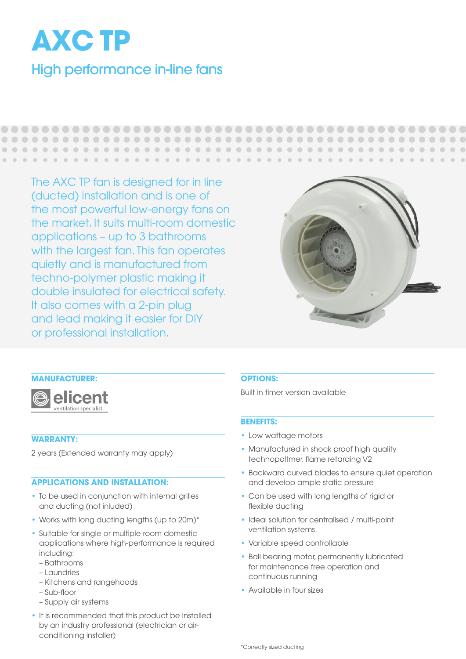

The AXC TP fan is designed for in line (ducted) installation and is one of the most powerful low-energy fans on the market. It suits multi-room domestic applications – up to 3 bathrooms with the largest fan. This fan operates quietly and is manufactured from techno-polymer plastic making it double insulated for electrical safety. It also comes with a 2-pin plug and lead making it easier for DIY or professional installation.

 $\blacksquare$  $\blacksquare$  $\bullet$ 



 $\Box$ 

. . . . . . . . . .

 $\sim$  $\alpha$  $\mathcal{L}(\mathcal{L})=\mathcal{L}(\mathcal{L})$  $\blacksquare$ 





# **WARRANTY:**

2 years (Extended warranty may apply)

#### **APPLICATIONS AND INSTALLATION:**

- To be used in conjunction with internal grilles and ducting (not inluded)
- Works with long ducting lengths (up to 20m)\*
- Suitable for single or multiple room domestic applications where high-performance is required including:
	- Bathrooms
	- Laundries
	- Kitchens and rangehoods
	- Sub-floor
	- Supply air systems
- It is recommended that this product be installed by an industry professional (electrician or airconditioning installer)

#### **OPTIONS:**

 $\blacksquare$  $\begin{array}{c} \begin{array}{c} \begin{array}{c} \begin{array}{c} \end{array} \end{array} \end{array} \end{array} \end{array}$  $\blacksquare$  $\blacksquare$ 

 $\bullet$  $\blacksquare$ 

Built in timer version available

#### **BENEFITS:**

- Low wattage motors
- Manufactured in shock proof high quality technopoltmer, flame retarding V2
- Backward curved blades to ensure quiet operation and develop ample static pressure
- Can be used with long lengths of rigid or flexible ducting
- Ideal solution for centralised / multi-point ventilation systems
- Variable speed controllable
- Ball bearing motor, permanently lubricated for maintenance free operation and continuous running
- Available in four sizes